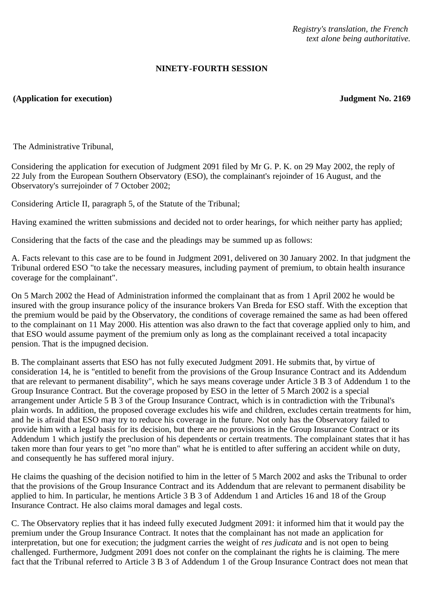*Registry's translation, the French text alone being authoritative.*

## **NINETY-FOURTH SESSION**

## **(Application for execution) Judgment No. 2169**

The Administrative Tribunal,

Considering the application for execution of Judgment 2091 filed by Mr G. P. K. on 29 May 2002, the reply of 22 July from the European Southern Observatory (ESO), the complainant's rejoinder of 16 August, and the Observatory's surrejoinder of 7 October 2002;

Considering Article II, paragraph 5, of the Statute of the Tribunal;

Having examined the written submissions and decided not to order hearings, for which neither party has applied;

Considering that the facts of the case and the pleadings may be summed up as follows:

A. Facts relevant to this case are to be found in Judgment 2091, delivered on 30 January 2002. In that judgment the Tribunal ordered ESO "to take the necessary measures, including payment of premium, to obtain health insurance coverage for the complainant".

On 5 March 2002 the Head of Administration informed the complainant that as from 1 April 2002 he would be insured with the group insurance policy of the insurance brokers Van Breda for ESO staff. With the exception that the premium would be paid by the Observatory, the conditions of coverage remained the same as had been offered to the complainant on 11 May 2000. His attention was also drawn to the fact that coverage applied only to him, and that ESO would assume payment of the premium only as long as the complainant received a total incapacity pension. That is the impugned decision.

B. The complainant asserts that ESO has not fully executed Judgment 2091. He submits that, by virtue of consideration 14, he is "entitled to benefit from the provisions of the Group Insurance Contract and its Addendum that are relevant to permanent disability", which he says means coverage under Article 3 B 3 of Addendum 1 to the Group Insurance Contract. But the coverage proposed by ESO in the letter of 5 March 2002 is a special arrangement under Article 5 B 3 of the Group Insurance Contract, which is in contradiction with the Tribunal's plain words. In addition, the proposed coverage excludes his wife and children, excludes certain treatments for him, and he is afraid that ESO may try to reduce his coverage in the future. Not only has the Observatory failed to provide him with a legal basis for its decision, but there are no provisions in the Group Insurance Contract or its Addendum 1 which justify the preclusion of his dependents or certain treatments. The complainant states that it has taken more than four years to get "no more than" what he is entitled to after suffering an accident while on duty, and consequently he has suffered moral injury.

He claims the quashing of the decision notified to him in the letter of 5 March 2002 and asks the Tribunal to order that the provisions of the Group Insurance Contract and its Addendum that are relevant to permanent disability be applied to him. In particular, he mentions Article 3 B 3 of Addendum 1 and Articles 16 and 18 of the Group Insurance Contract. He also claims moral damages and legal costs.

C. The Observatory replies that it has indeed fully executed Judgment 2091: it informed him that it would pay the premium under the Group Insurance Contract. It notes that the complainant has not made an application for interpretation, but one for execution; the judgment carries the weight of *res judicata* and is not open to being challenged. Furthermore, Judgment 2091 does not confer on the complainant the rights he is claiming. The mere fact that the Tribunal referred to Article 3 B 3 of Addendum 1 of the Group Insurance Contract does not mean that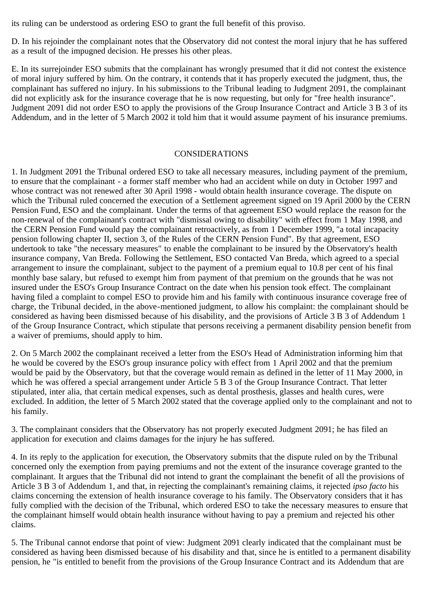its ruling can be understood as ordering ESO to grant the full benefit of this proviso.

D. In his rejoinder the complainant notes that the Observatory did not contest the moral injury that he has suffered as a result of the impugned decision. He presses his other pleas.

E. In its surrejoinder ESO submits that the complainant has wrongly presumed that it did not contest the existence of moral injury suffered by him. On the contrary, it contends that it has properly executed the judgment, thus, the complainant has suffered no injury. In his submissions to the Tribunal leading to Judgment 2091, the complainant did not explicitly ask for the insurance coverage that he is now requesting, but only for "free health insurance". Judgment 2091 did not order ESO to apply the provisions of the Group Insurance Contract and Article 3 B 3 of its Addendum, and in the letter of 5 March 2002 it told him that it would assume payment of his insurance premiums.

### CONSIDERATIONS

1. In Judgment 2091 the Tribunal ordered ESO to take all necessary measures, including payment of the premium, to ensure that the complainant - a former staff member who had an accident while on duty in October 1997 and whose contract was not renewed after 30 April 1998 - would obtain health insurance coverage. The dispute on which the Tribunal ruled concerned the execution of a Settlement agreement signed on 19 April 2000 by the CERN Pension Fund, ESO and the complainant. Under the terms of that agreement ESO would replace the reason for the non-renewal of the complainant's contract with "dismissal owing to disability" with effect from 1 May 1998, and the CERN Pension Fund would pay the complainant retroactively, as from 1 December 1999, "a total incapacity pension following chapter II, section 3, of the Rules of the CERN Pension Fund". By that agreement, ESO undertook to take "the necessary measures" to enable the complainant to be insured by the Observatory's health insurance company, Van Breda. Following the Settlement, ESO contacted Van Breda, which agreed to a special arrangement to insure the complainant, subject to the payment of a premium equal to 10.8 per cent of his final monthly base salary, but refused to exempt him from payment of that premium on the grounds that he was not insured under the ESO's Group Insurance Contract on the date when his pension took effect. The complainant having filed a complaint to compel ESO to provide him and his family with continuous insurance coverage free of charge, the Tribunal decided, in the above-mentioned judgment, to allow his complaint: the complainant should be considered as having been dismissed because of his disability, and the provisions of Article 3 B 3 of Addendum 1 of the Group Insurance Contract, which stipulate that persons receiving a permanent disability pension benefit from a waiver of premiums, should apply to him.

2. On 5 March 2002 the complainant received a letter from the ESO's Head of Administration informing him that he would be covered by the ESO's group insurance policy with effect from 1 April 2002 and that the premium would be paid by the Observatory, but that the coverage would remain as defined in the letter of 11 May 2000, in which he was offered a special arrangement under Article 5 B 3 of the Group Insurance Contract. That letter stipulated, inter alia, that certain medical expenses, such as dental prosthesis, glasses and health cures, were excluded. In addition, the letter of 5 March 2002 stated that the coverage applied only to the complainant and not to his family.

3. The complainant considers that the Observatory has not properly executed Judgment 2091; he has filed an application for execution and claims damages for the injury he has suffered.

4. In its reply to the application for execution, the Observatory submits that the dispute ruled on by the Tribunal concerned only the exemption from paying premiums and not the extent of the insurance coverage granted to the complainant. It argues that the Tribunal did not intend to grant the complainant the benefit of all the provisions of Article 3 B 3 of Addendum 1, and that, in rejecting the complainant's remaining claims, it rejected *ipso facto* his claims concerning the extension of health insurance coverage to his family. The Observatory considers that it has fully complied with the decision of the Tribunal, which ordered ESO to take the necessary measures to ensure that the complainant himself would obtain health insurance without having to pay a premium and rejected his other claims.

5. The Tribunal cannot endorse that point of view: Judgment 2091 clearly indicated that the complainant must be considered as having been dismissed because of his disability and that, since he is entitled to a permanent disability pension, he "is entitled to benefit from the provisions of the Group Insurance Contract and its Addendum that are